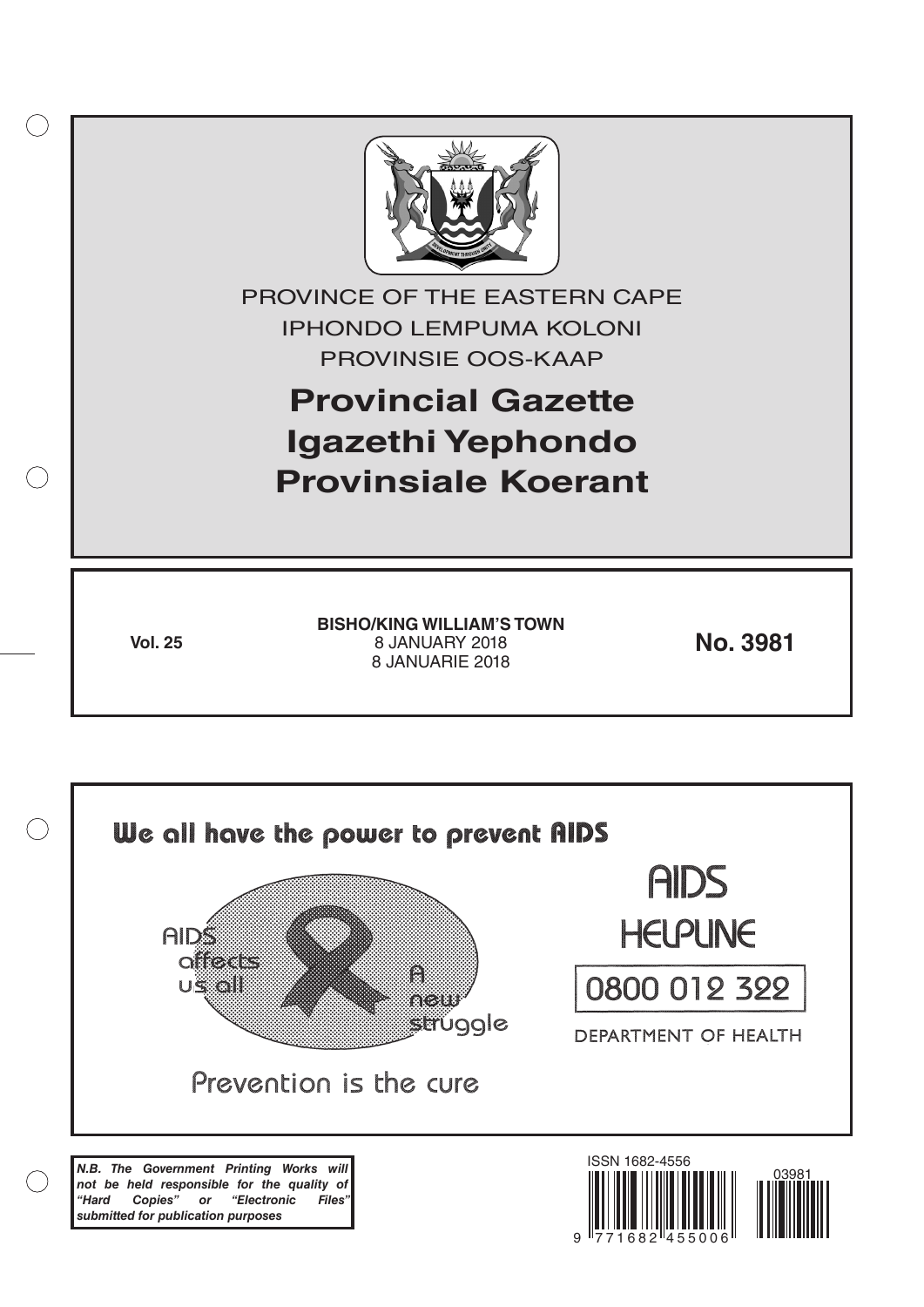

*N.B. The Government Printing Works will not be held responsible for the quality of "Hard Copies" or "Electronic Files" submitted for publication purposes*

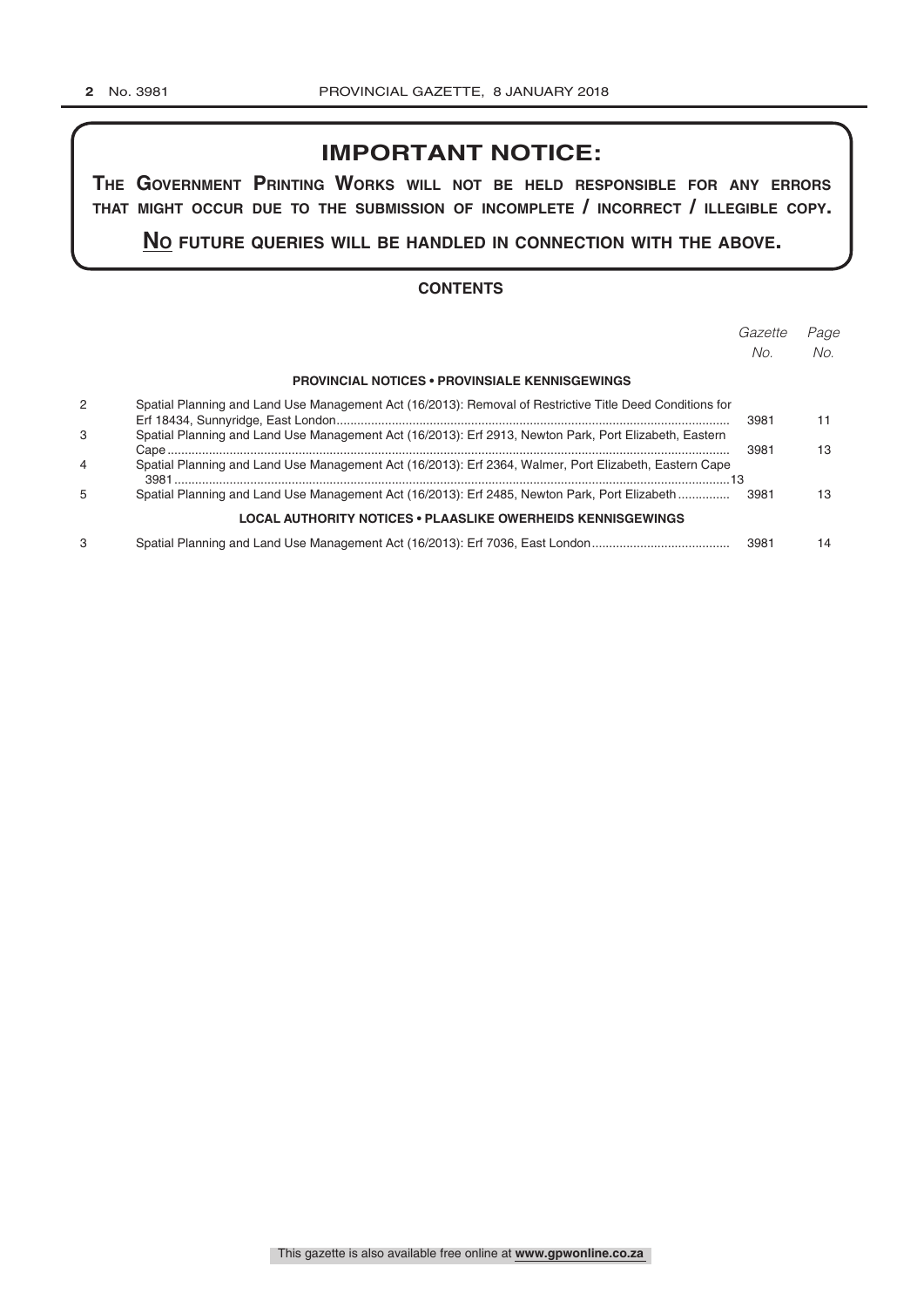# **IMPORTANT NOTICE:**

**The GovernmenT PrinTinG Works Will noT be held resPonsible for any errors ThaT miGhT occur due To The submission of incomPleTe / incorrecT / illeGible coPy.**

**no fuTure queries Will be handled in connecTion WiTh The above.**

#### **CONTENTS**

|                |                                                                                                          | Gazette | Page |
|----------------|----------------------------------------------------------------------------------------------------------|---------|------|
|                |                                                                                                          | No.     | No.  |
|                | <b>PROVINCIAL NOTICES • PROVINSIALE KENNISGEWINGS</b>                                                    |         |      |
| 2              | Spatial Planning and Land Use Management Act (16/2013): Removal of Restrictive Title Deed Conditions for | 3981    | 11   |
| 3              | Spatial Planning and Land Use Management Act (16/2013): Erf 2913, Newton Park, Port Elizabeth, Eastern   | 3981    |      |
| $\overline{4}$ | Spatial Planning and Land Use Management Act (16/2013): Erf 2364, Walmer, Port Elizabeth, Eastern Cape   |         |      |
| 5              | Spatial Planning and Land Use Management Act (16/2013): Erf 2485, Newton Park, Port Elizabeth            | 3981    | 13   |
|                | <b>LOCAL AUTHORITY NOTICES • PLAASLIKE OWERHEIDS KENNISGEWINGS</b>                                       |         |      |
| З              | Spatial Planning and Land Use Management Act (16/2013): Erf 7036, East London                            | 3981    | 14   |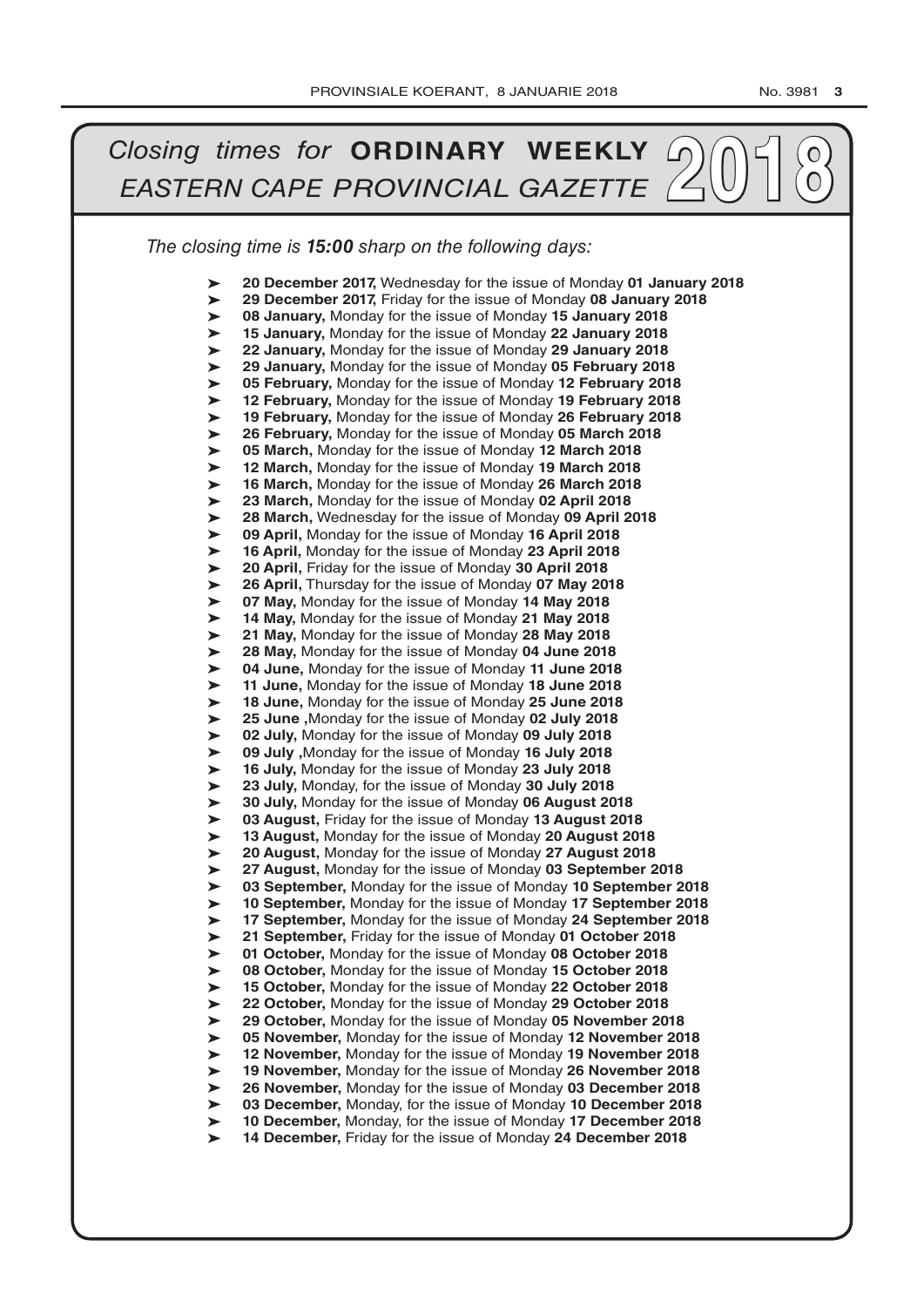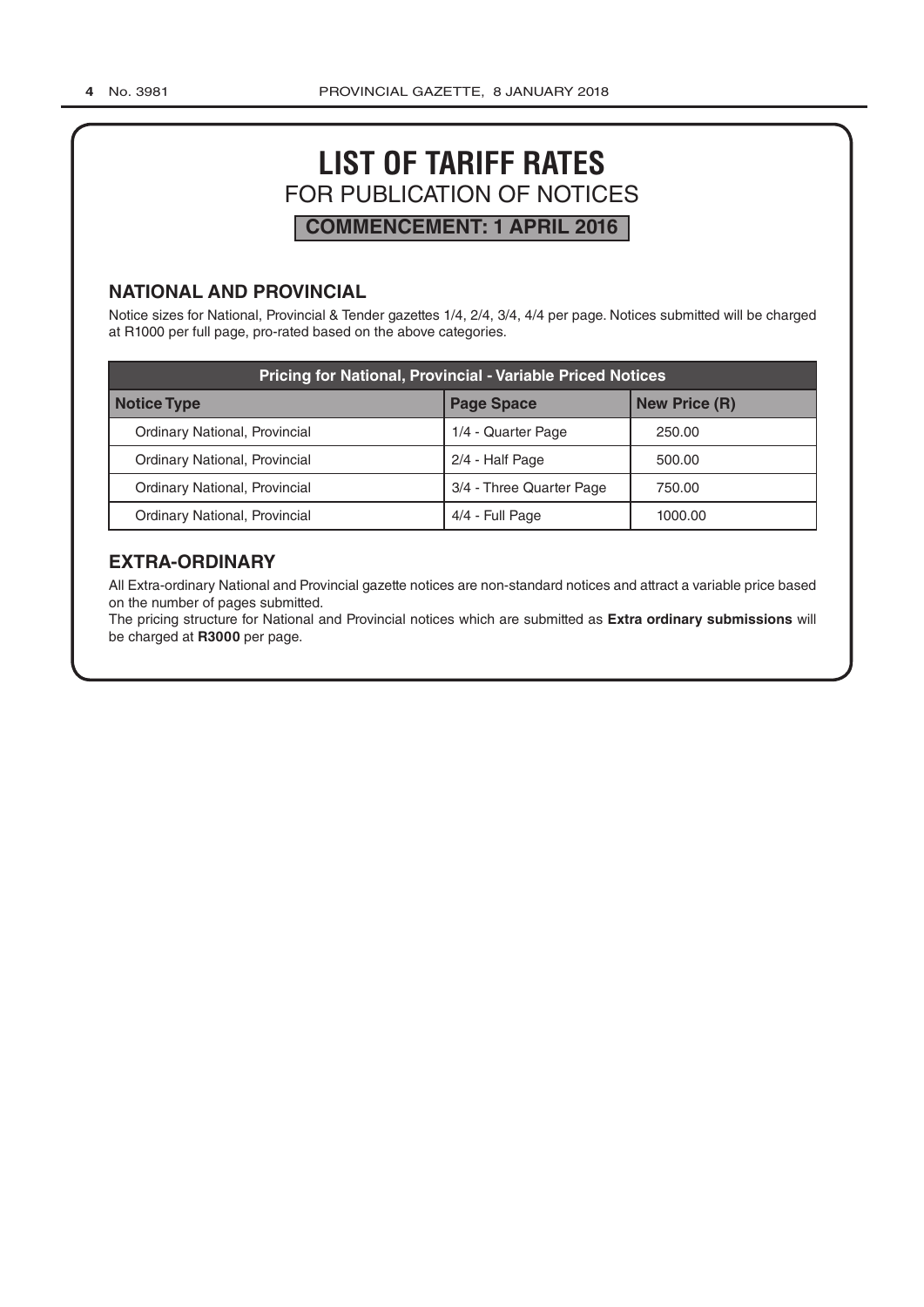# **LIST OF TARIFF RATES** FOR PUBLICATION OF NOTICES **COMMENCEMENT: 1 APRIL 2016**

# **NATIONAL AND PROVINCIAL**

Notice sizes for National, Provincial & Tender gazettes 1/4, 2/4, 3/4, 4/4 per page. Notices submitted will be charged at R1000 per full page, pro-rated based on the above categories.

| <b>Pricing for National, Provincial - Variable Priced Notices</b> |                          |                      |  |  |  |  |
|-------------------------------------------------------------------|--------------------------|----------------------|--|--|--|--|
| <b>Notice Type</b>                                                | <b>Page Space</b>        | <b>New Price (R)</b> |  |  |  |  |
| Ordinary National, Provincial                                     | 1/4 - Quarter Page       | 250.00               |  |  |  |  |
| Ordinary National, Provincial                                     | 2/4 - Half Page          | 500.00               |  |  |  |  |
| Ordinary National, Provincial                                     | 3/4 - Three Quarter Page | 750.00               |  |  |  |  |
| Ordinary National, Provincial                                     | 4/4 - Full Page          | 1000.00              |  |  |  |  |

# **EXTRA-ORDINARY**

All Extra-ordinary National and Provincial gazette notices are non-standard notices and attract a variable price based on the number of pages submitted.

The pricing structure for National and Provincial notices which are submitted as **Extra ordinary submissions** will be charged at **R3000** per page.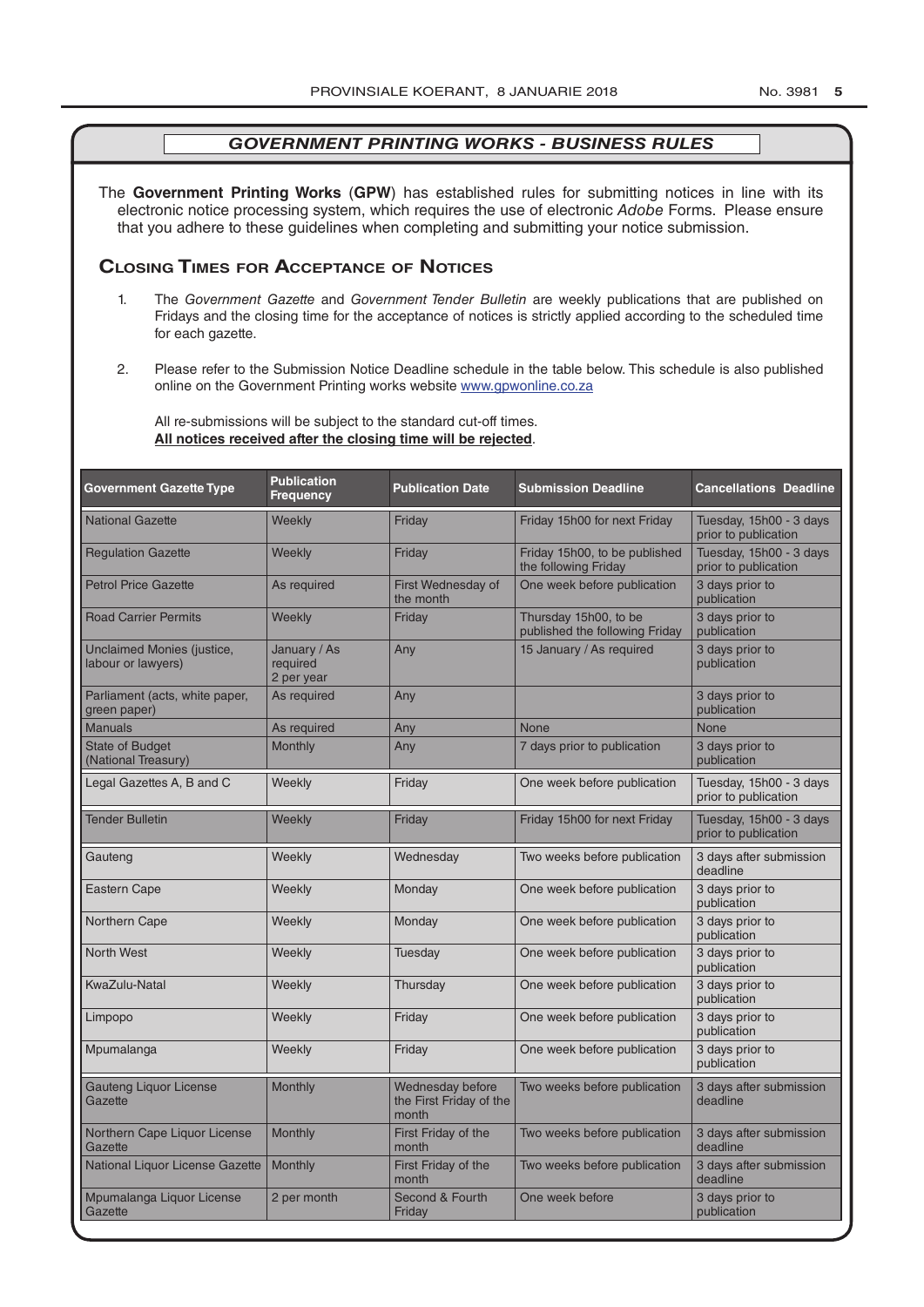The **Government Printing Works** (**GPW**) has established rules for submitting notices in line with its electronic notice processing system, which requires the use of electronic *Adobe* Forms. Please ensure that you adhere to these guidelines when completing and submitting your notice submission.

# **Closing Times for ACCepTAnCe of noTiCes**

- 1. The *Government Gazette* and *Government Tender Bulletin* are weekly publications that are published on Fridays and the closing time for the acceptance of notices is strictly applied according to the scheduled time for each gazette.
- 2. Please refer to the Submission Notice Deadline schedule in the table below. This schedule is also published online on the Government Printing works website www.gpwonline.co.za

All re-submissions will be subject to the standard cut-off times. **All notices received after the closing time will be rejected**.

| <b>Government Gazette Type</b>                   | <b>Publication</b><br><b>Frequency</b> | <b>Publication Date</b>                              | <b>Submission Deadline</b>                              | <b>Cancellations Deadline</b>                   |
|--------------------------------------------------|----------------------------------------|------------------------------------------------------|---------------------------------------------------------|-------------------------------------------------|
| <b>National Gazette</b>                          | Weekly                                 | Friday                                               | Friday 15h00 for next Friday                            | Tuesday, 15h00 - 3 days<br>prior to publication |
| <b>Regulation Gazette</b>                        | Weekly                                 | Friday                                               | Friday 15h00, to be published<br>the following Friday   | Tuesday, 15h00 - 3 days<br>prior to publication |
| <b>Petrol Price Gazette</b>                      | As required                            | First Wednesday of<br>the month                      | One week before publication                             | 3 days prior to<br>publication                  |
| <b>Road Carrier Permits</b>                      | Weekly                                 | Friday                                               | Thursday 15h00, to be<br>published the following Friday | 3 days prior to<br>publication                  |
| Unclaimed Monies (justice,<br>labour or lawyers) | January / As<br>required<br>2 per year | Any                                                  | 15 January / As required                                | 3 days prior to<br>publication                  |
| Parliament (acts, white paper,<br>green paper)   | As required                            | Any                                                  |                                                         | 3 days prior to<br>publication                  |
| <b>Manuals</b>                                   | As required                            | Any                                                  | <b>None</b>                                             | <b>None</b>                                     |
| <b>State of Budget</b><br>(National Treasury)    | Monthly                                | Any                                                  | 7 days prior to publication                             | 3 days prior to<br>publication                  |
| Legal Gazettes A, B and C                        | Weekly                                 | Friday                                               | One week before publication                             | Tuesday, 15h00 - 3 days<br>prior to publication |
| <b>Tender Bulletin</b>                           | Weekly                                 | Friday                                               | Friday 15h00 for next Friday                            | Tuesday, 15h00 - 3 days<br>prior to publication |
| Gauteng                                          | Weekly                                 | Wednesday                                            | Two weeks before publication                            | 3 days after submission<br>deadline             |
| Eastern Cape                                     | Weekly                                 | Monday                                               | One week before publication                             | 3 days prior to<br>publication                  |
| Northern Cape                                    | Weekly                                 | Monday                                               | One week before publication                             | 3 days prior to<br>publication                  |
| <b>North West</b>                                | Weekly                                 | Tuesday                                              | One week before publication                             | 3 days prior to<br>publication                  |
| KwaZulu-Natal                                    | Weekly                                 | Thursday                                             | One week before publication                             | 3 days prior to<br>publication                  |
| Limpopo                                          | Weekly                                 | Friday                                               | One week before publication                             | 3 days prior to<br>publication                  |
| Mpumalanga                                       | Weekly                                 | Friday                                               | One week before publication                             | 3 days prior to<br>publication                  |
| <b>Gauteng Liquor License</b><br>Gazette         | Monthly                                | Wednesday before<br>the First Friday of the<br>month | Two weeks before publication                            | 3 days after submission<br>deadline             |
| Northern Cape Liquor License<br>Gazette          | Monthly                                | First Friday of the<br>month                         | Two weeks before publication                            | 3 days after submission<br>deadline             |
| National Liquor License Gazette                  | Monthly                                | First Friday of the<br>month                         | Two weeks before publication                            | 3 days after submission<br>deadline             |
| Mpumalanga Liquor License<br>Gazette             | 2 per month                            | Second & Fourth<br>Friday                            | One week before                                         | 3 days prior to<br>publication                  |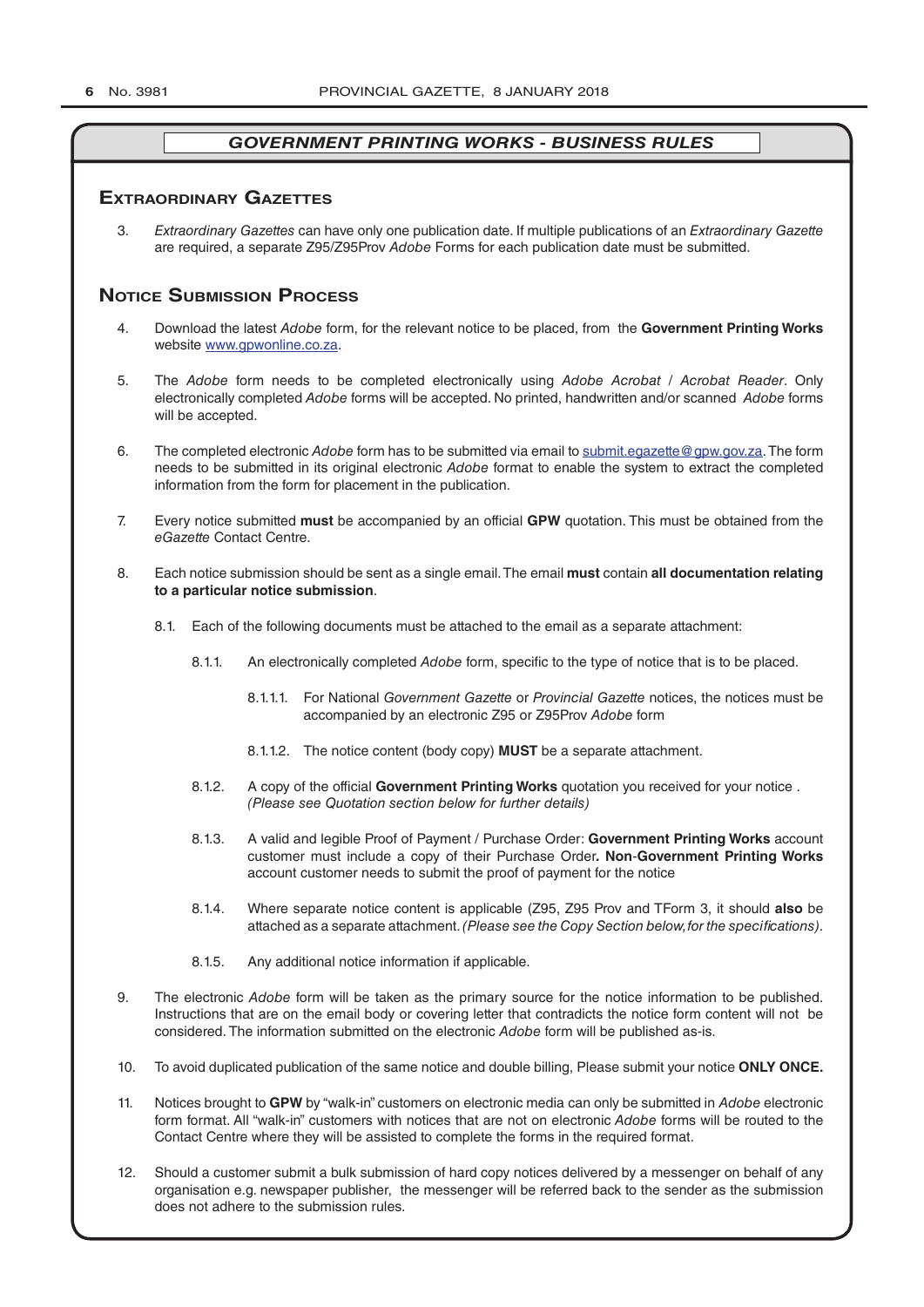### **exTrAordinAry gAzeTTes**

3. *Extraordinary Gazettes* can have only one publication date. If multiple publications of an *Extraordinary Gazette* are required, a separate Z95/Z95Prov *Adobe* Forms for each publication date must be submitted.

# **NOTICE SUBMISSION PROCESS**

- 4. Download the latest *Adobe* form, for the relevant notice to be placed, from the **Government Printing Works** website www.gpwonline.co.za.
- 5. The *Adobe* form needs to be completed electronically using *Adobe Acrobat* / *Acrobat Reader*. Only electronically completed *Adobe* forms will be accepted. No printed, handwritten and/or scanned *Adobe* forms will be accepted.
- 6. The completed electronic *Adobe* form has to be submitted via email to submit.egazette@gpw.gov.za. The form needs to be submitted in its original electronic *Adobe* format to enable the system to extract the completed information from the form for placement in the publication.
- 7. Every notice submitted **must** be accompanied by an official **GPW** quotation. This must be obtained from the *eGazette* Contact Centre.
- 8. Each notice submission should be sent as a single email. The email **must** contain **all documentation relating to a particular notice submission**.
	- 8.1. Each of the following documents must be attached to the email as a separate attachment:
		- 8.1.1. An electronically completed *Adobe* form, specific to the type of notice that is to be placed.
			- 8.1.1.1. For National *Government Gazette* or *Provincial Gazette* notices, the notices must be accompanied by an electronic Z95 or Z95Prov *Adobe* form
			- 8.1.1.2. The notice content (body copy) **MUST** be a separate attachment.
		- 8.1.2. A copy of the official **Government Printing Works** quotation you received for your notice . *(Please see Quotation section below for further details)*
		- 8.1.3. A valid and legible Proof of Payment / Purchase Order: **Government Printing Works** account customer must include a copy of their Purchase Order*.* **Non**-**Government Printing Works** account customer needs to submit the proof of payment for the notice
		- 8.1.4. Where separate notice content is applicable (Z95, Z95 Prov and TForm 3, it should **also** be attached as a separate attachment. *(Please see the Copy Section below, for the specifications)*.
		- 8.1.5. Any additional notice information if applicable.
- 9. The electronic *Adobe* form will be taken as the primary source for the notice information to be published. Instructions that are on the email body or covering letter that contradicts the notice form content will not be considered. The information submitted on the electronic *Adobe* form will be published as-is.
- 10. To avoid duplicated publication of the same notice and double billing, Please submit your notice **ONLY ONCE.**
- 11. Notices brought to **GPW** by "walk-in" customers on electronic media can only be submitted in *Adobe* electronic form format. All "walk-in" customers with notices that are not on electronic *Adobe* forms will be routed to the Contact Centre where they will be assisted to complete the forms in the required format.
- 12. Should a customer submit a bulk submission of hard copy notices delivered by a messenger on behalf of any organisation e.g. newspaper publisher, the messenger will be referred back to the sender as the submission does not adhere to the submission rules.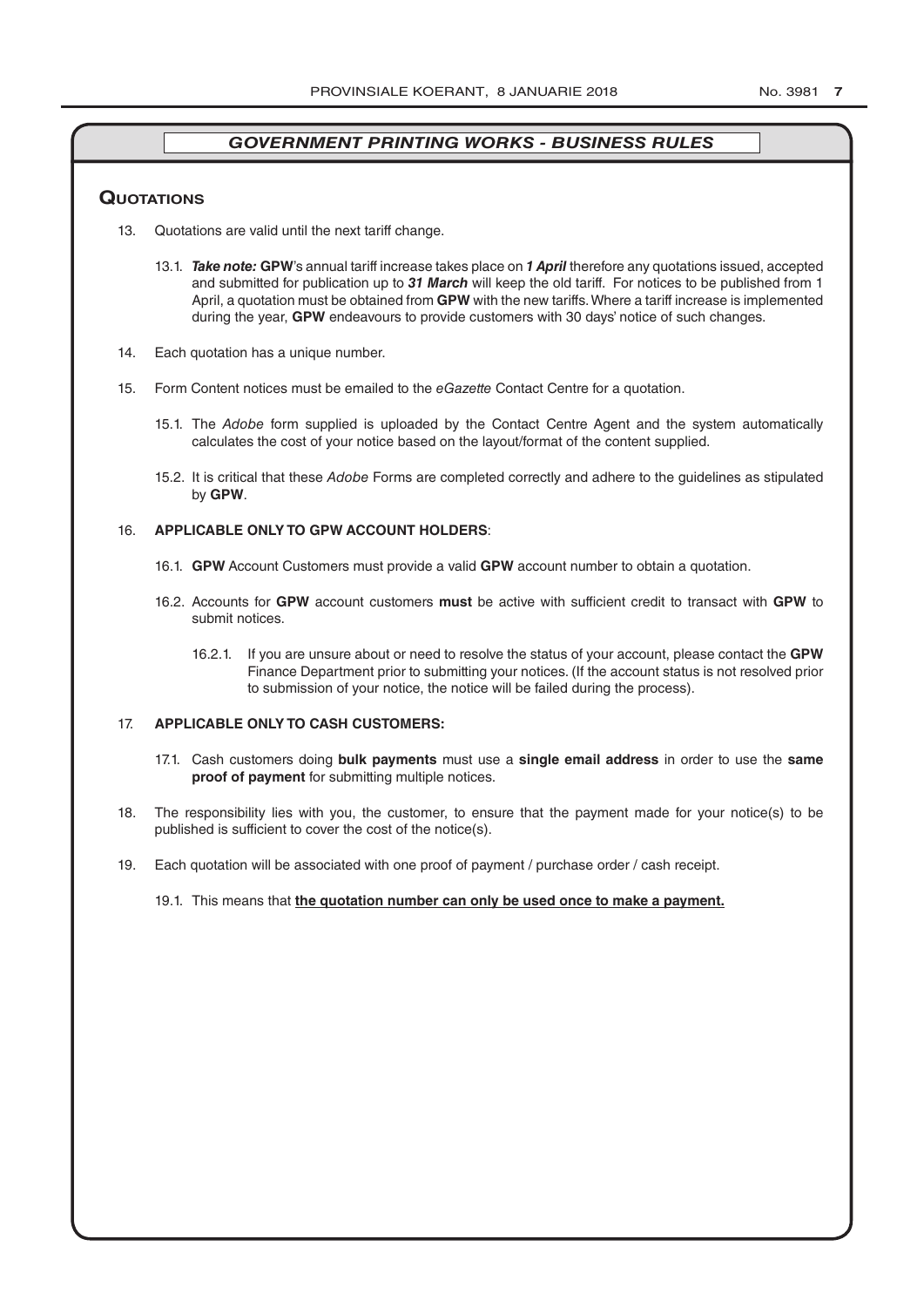#### **QuoTATions**

- 13. Quotations are valid until the next tariff change.
	- 13.1. *Take note:* **GPW**'s annual tariff increase takes place on *1 April* therefore any quotations issued, accepted and submitted for publication up to *31 March* will keep the old tariff. For notices to be published from 1 April, a quotation must be obtained from **GPW** with the new tariffs. Where a tariff increase is implemented during the year, **GPW** endeavours to provide customers with 30 days' notice of such changes.
- 14. Each quotation has a unique number.
- 15. Form Content notices must be emailed to the *eGazette* Contact Centre for a quotation.
	- 15.1. The *Adobe* form supplied is uploaded by the Contact Centre Agent and the system automatically calculates the cost of your notice based on the layout/format of the content supplied.
	- 15.2. It is critical that these *Adobe* Forms are completed correctly and adhere to the guidelines as stipulated by **GPW**.

#### 16. **APPLICABLE ONLY TO GPW ACCOUNT HOLDERS**:

- 16.1. **GPW** Account Customers must provide a valid **GPW** account number to obtain a quotation.
- 16.2. Accounts for **GPW** account customers **must** be active with sufficient credit to transact with **GPW** to submit notices.
	- 16.2.1. If you are unsure about or need to resolve the status of your account, please contact the **GPW** Finance Department prior to submitting your notices. (If the account status is not resolved prior to submission of your notice, the notice will be failed during the process).

#### 17. **APPLICABLE ONLY TO CASH CUSTOMERS:**

- 17.1. Cash customers doing **bulk payments** must use a **single email address** in order to use the **same proof of payment** for submitting multiple notices.
- 18. The responsibility lies with you, the customer, to ensure that the payment made for your notice(s) to be published is sufficient to cover the cost of the notice(s).
- 19. Each quotation will be associated with one proof of payment / purchase order / cash receipt.

#### 19.1. This means that **the quotation number can only be used once to make a payment.**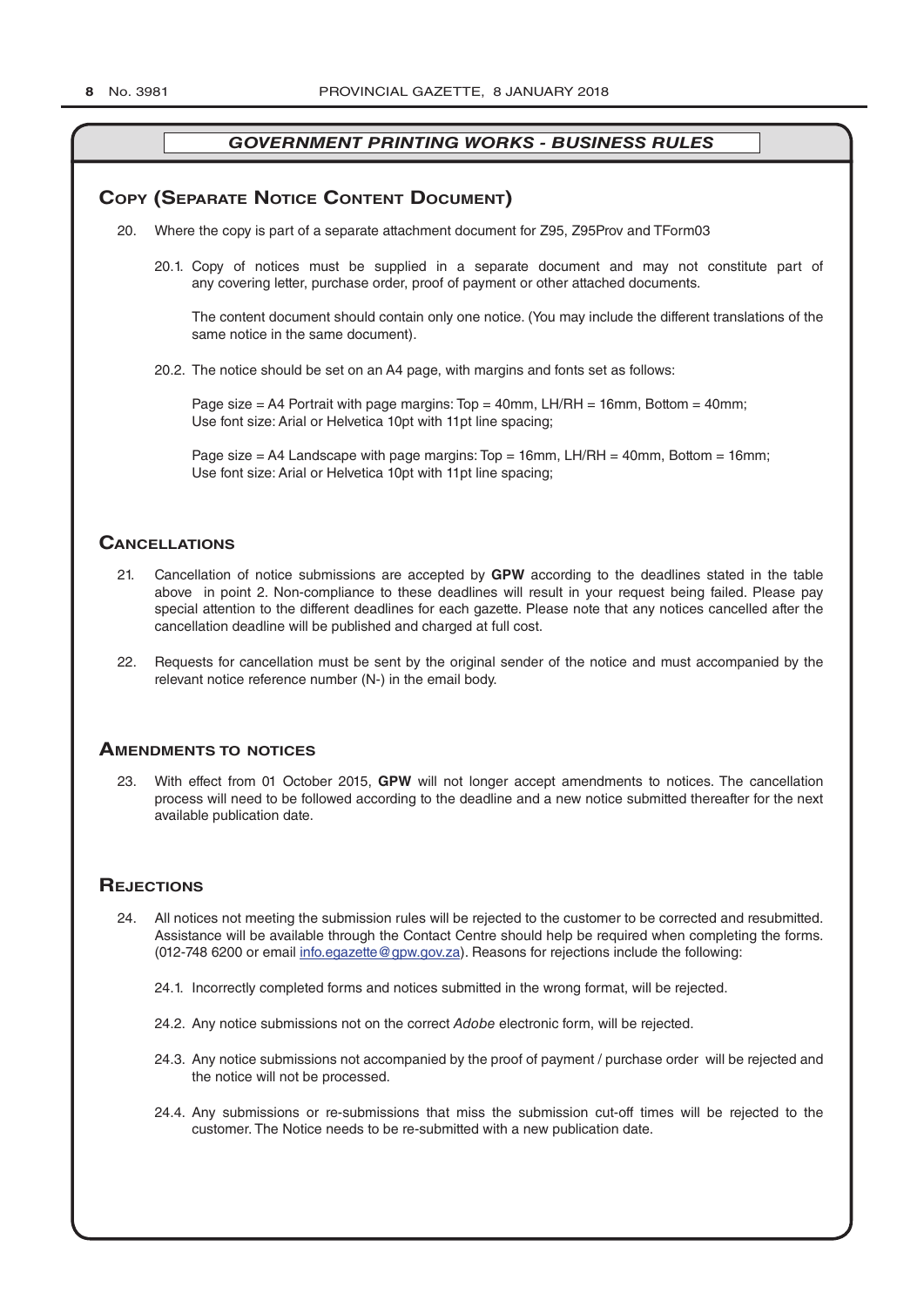### **COPY (SEPARATE NOTICE CONTENT DOCUMENT)**

- 20. Where the copy is part of a separate attachment document for Z95, Z95Prov and TForm03
	- 20.1. Copy of notices must be supplied in a separate document and may not constitute part of any covering letter, purchase order, proof of payment or other attached documents.

The content document should contain only one notice. (You may include the different translations of the same notice in the same document).

20.2. The notice should be set on an A4 page, with margins and fonts set as follows:

Page size  $=$  A4 Portrait with page margins: Top  $=$  40mm, LH/RH  $=$  16mm, Bottom  $=$  40mm; Use font size: Arial or Helvetica 10pt with 11pt line spacing;

Page size = A4 Landscape with page margins:  $Top = 16$ mm, LH/RH = 40mm, Bottom = 16mm; Use font size: Arial or Helvetica 10pt with 11pt line spacing;

#### **CAnCellATions**

- 21. Cancellation of notice submissions are accepted by **GPW** according to the deadlines stated in the table above in point 2. Non-compliance to these deadlines will result in your request being failed. Please pay special attention to the different deadlines for each gazette. Please note that any notices cancelled after the cancellation deadline will be published and charged at full cost.
- 22. Requests for cancellation must be sent by the original sender of the notice and must accompanied by the relevant notice reference number (N-) in the email body.

#### **AmendmenTs To noTiCes**

23. With effect from 01 October 2015, **GPW** will not longer accept amendments to notices. The cancellation process will need to be followed according to the deadline and a new notice submitted thereafter for the next available publication date.

#### **REJECTIONS**

- 24. All notices not meeting the submission rules will be rejected to the customer to be corrected and resubmitted. Assistance will be available through the Contact Centre should help be required when completing the forms. (012-748 6200 or email info.egazette@gpw.gov.za). Reasons for rejections include the following:
	- 24.1. Incorrectly completed forms and notices submitted in the wrong format, will be rejected.
	- 24.2. Any notice submissions not on the correct *Adobe* electronic form, will be rejected.
	- 24.3. Any notice submissions not accompanied by the proof of payment / purchase order will be rejected and the notice will not be processed.
	- 24.4. Any submissions or re-submissions that miss the submission cut-off times will be rejected to the customer. The Notice needs to be re-submitted with a new publication date.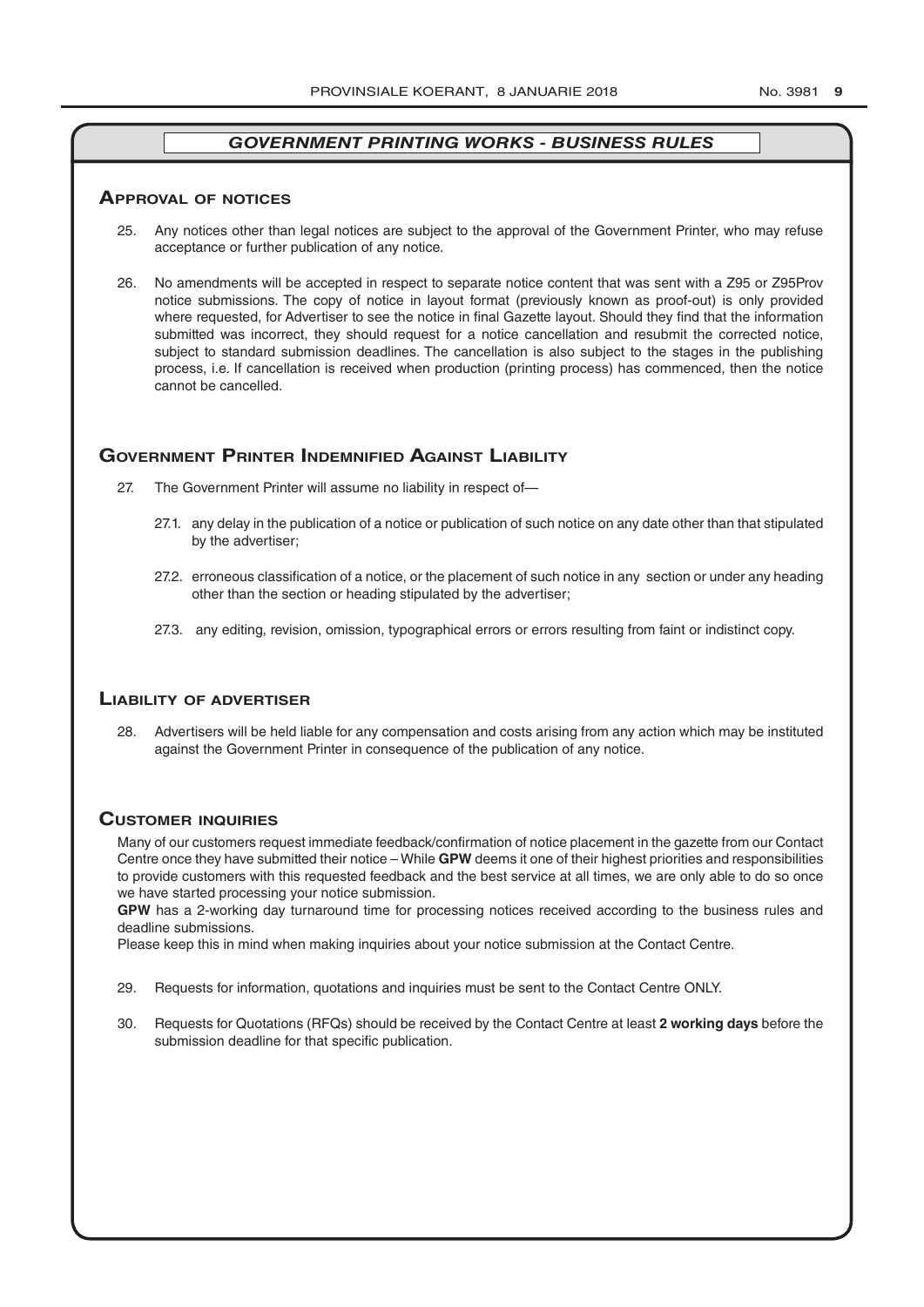#### **ApprovAl of noTiCes**

- 25. Any notices other than legal notices are subject to the approval of the Government Printer, who may refuse acceptance or further publication of any notice.
- 26. No amendments will be accepted in respect to separate notice content that was sent with a Z95 or Z95Prov notice submissions. The copy of notice in layout format (previously known as proof-out) is only provided where requested, for Advertiser to see the notice in final Gazette layout. Should they find that the information submitted was incorrect, they should request for a notice cancellation and resubmit the corrected notice, subject to standard submission deadlines. The cancellation is also subject to the stages in the publishing process, i.e. If cancellation is received when production (printing process) has commenced, then the notice cannot be cancelled.

#### **governmenT prinTer indemnified AgAinsT liAbiliTy**

- 27. The Government Printer will assume no liability in respect of—
	- 27.1. any delay in the publication of a notice or publication of such notice on any date other than that stipulated by the advertiser;
	- 27.2. erroneous classification of a notice, or the placement of such notice in any section or under any heading other than the section or heading stipulated by the advertiser;
	- 27.3. any editing, revision, omission, typographical errors or errors resulting from faint or indistinct copy.

#### **liAbiliTy of AdverTiser**

28. Advertisers will be held liable for any compensation and costs arising from any action which may be instituted against the Government Printer in consequence of the publication of any notice.

#### **CusTomer inQuiries**

Many of our customers request immediate feedback/confirmation of notice placement in the gazette from our Contact Centre once they have submitted their notice – While **GPW** deems it one of their highest priorities and responsibilities to provide customers with this requested feedback and the best service at all times, we are only able to do so once we have started processing your notice submission.

**GPW** has a 2-working day turnaround time for processing notices received according to the business rules and deadline submissions.

Please keep this in mind when making inquiries about your notice submission at the Contact Centre.

- 29. Requests for information, quotations and inquiries must be sent to the Contact Centre ONLY.
- 30. Requests for Quotations (RFQs) should be received by the Contact Centre at least **2 working days** before the submission deadline for that specific publication.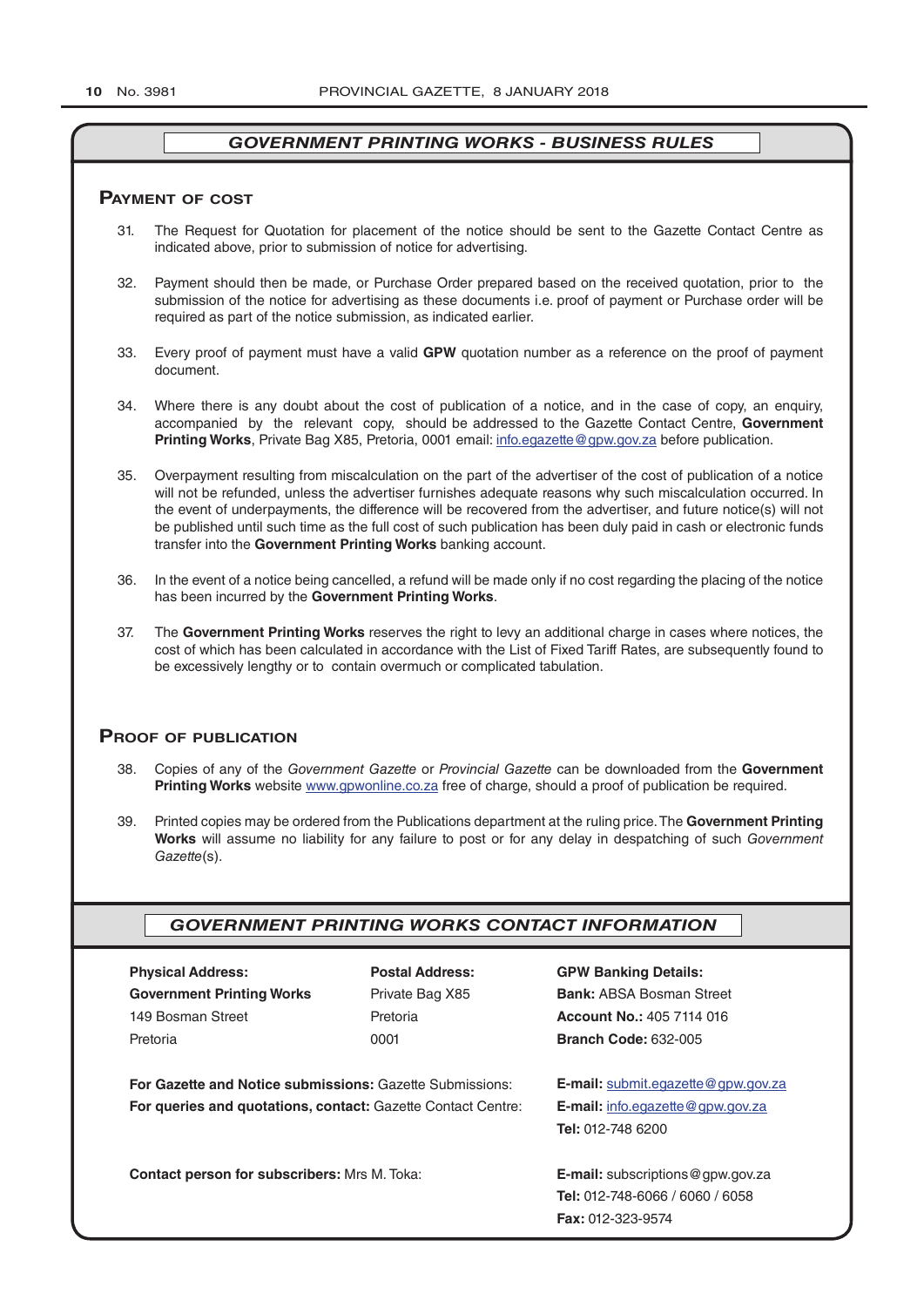#### **pAymenT of CosT**

- 31. The Request for Quotation for placement of the notice should be sent to the Gazette Contact Centre as indicated above, prior to submission of notice for advertising.
- 32. Payment should then be made, or Purchase Order prepared based on the received quotation, prior to the submission of the notice for advertising as these documents i.e. proof of payment or Purchase order will be required as part of the notice submission, as indicated earlier.
- 33. Every proof of payment must have a valid **GPW** quotation number as a reference on the proof of payment document.
- 34. Where there is any doubt about the cost of publication of a notice, and in the case of copy, an enquiry, accompanied by the relevant copy, should be addressed to the Gazette Contact Centre, **Government Printing Works**, Private Bag X85, Pretoria, 0001 email: info.egazette@gpw.gov.za before publication.
- 35. Overpayment resulting from miscalculation on the part of the advertiser of the cost of publication of a notice will not be refunded, unless the advertiser furnishes adequate reasons why such miscalculation occurred. In the event of underpayments, the difference will be recovered from the advertiser, and future notice(s) will not be published until such time as the full cost of such publication has been duly paid in cash or electronic funds transfer into the **Government Printing Works** banking account.
- 36. In the event of a notice being cancelled, a refund will be made only if no cost regarding the placing of the notice has been incurred by the **Government Printing Works**.
- 37. The **Government Printing Works** reserves the right to levy an additional charge in cases where notices, the cost of which has been calculated in accordance with the List of Fixed Tariff Rates, are subsequently found to be excessively lengthy or to contain overmuch or complicated tabulation.

#### **proof of publiCATion**

- 38. Copies of any of the *Government Gazette* or *Provincial Gazette* can be downloaded from the **Government Printing Works** website www.gpwonline.co.za free of charge, should a proof of publication be required.
- 39. Printed copies may be ordered from the Publications department at the ruling price. The **Government Printing Works** will assume no liability for any failure to post or for any delay in despatching of such *Government Gazette*(s).

# *GOVERNMENT PRINTING WORKS CONTACT INFORMATION*

| <b>Physical Address:</b>         |  |  |  |  |
|----------------------------------|--|--|--|--|
| <b>Government Printing Works</b> |  |  |  |  |
| 149 Bosman Street                |  |  |  |  |
| Pretoria                         |  |  |  |  |

**For Gazette and Notice submissions:** Gazette Submissions: **E-mail:** submit.egazette@gpw.gov.za **For queries and quotations, contact:** Gazette Contact Centre: **E-mail:** info.egazette@gpw.gov.za

**Contact person for subscribers:** Mrs M. Toka: **E-mail:** subscriptions@gpw.gov.za

**Physical Address: Postal Address: GPW Banking Details:**

Private Bag X85 **Bank:** ABSA Bosman Street 149 Bosman Street Pretoria **Account No.:** 405 7114 016 Pretoria 0001 **Branch Code:** 632-005

**Tel:** 012-748 6200

**Tel:** 012-748-6066 / 6060 / 6058 **Fax:** 012-323-9574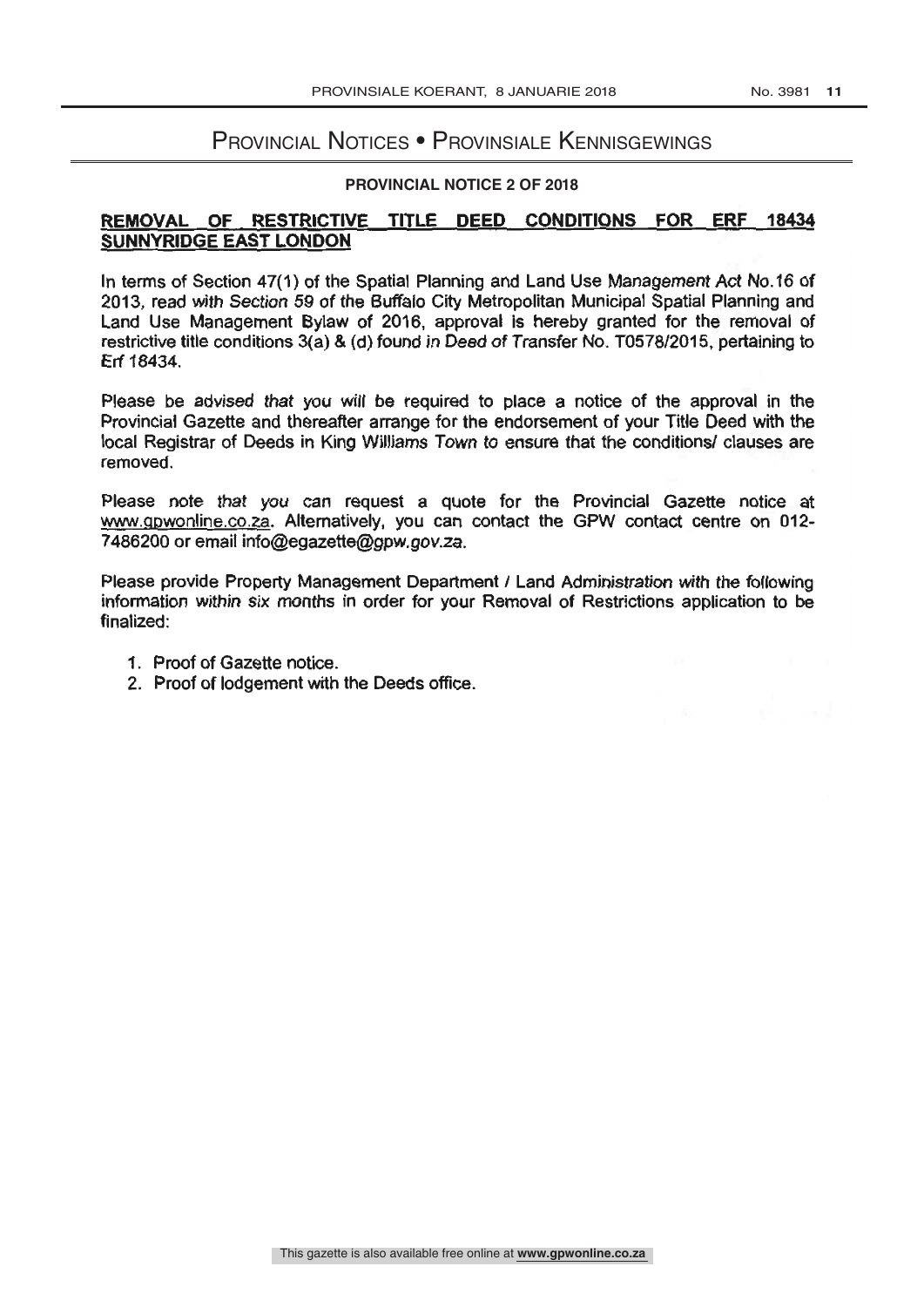# Provincial Notices • Provinsiale Kennisgewings

#### **PROVINCIAL NOTICE 2 OF 2018**

# SUNNYRIDGE EAST LONDON REMOVAL OF RESTRICTIVE TITLE DEED CONDITIONS FOR ERF 18434

Erf 18434. restrictive title conditions 3(a) & (d) found in Deed of Transfer No. T0578/2015, pertaining to Land Use Management Bylaw of 2016, approval is hereby granted for the removal of 2013, read with Section 59 of the Buffalo City Metropolitan Municipal Spatial Planning and In terms of Section 47(1) of the Spatial Planning and Land Use Management Act No.16 of

removed. local Registrar of Deeds in King Williams Town to ensure that the conditions/ clauses are Provincial Gazette and thereafter arrange for the endorsement of your Title Deed with the Please be advised that you will be required to place a notice of the approval in the

7486200 or email info@egazette@gpw.gov.za www.gpwonline.co.za. Alternatively, you can contact the GPW contact centre on 012-Please note that you can request a quote for the Provincial Gazette notice at

finalized: information within six months in order for your Removal of Restrictions application to be Please provide Property Management Department / Land Administration with the following

1. Proof of Gazette notice.

as de la constantina.<br>Espainia

2. Proof of lodgement with the Deeds office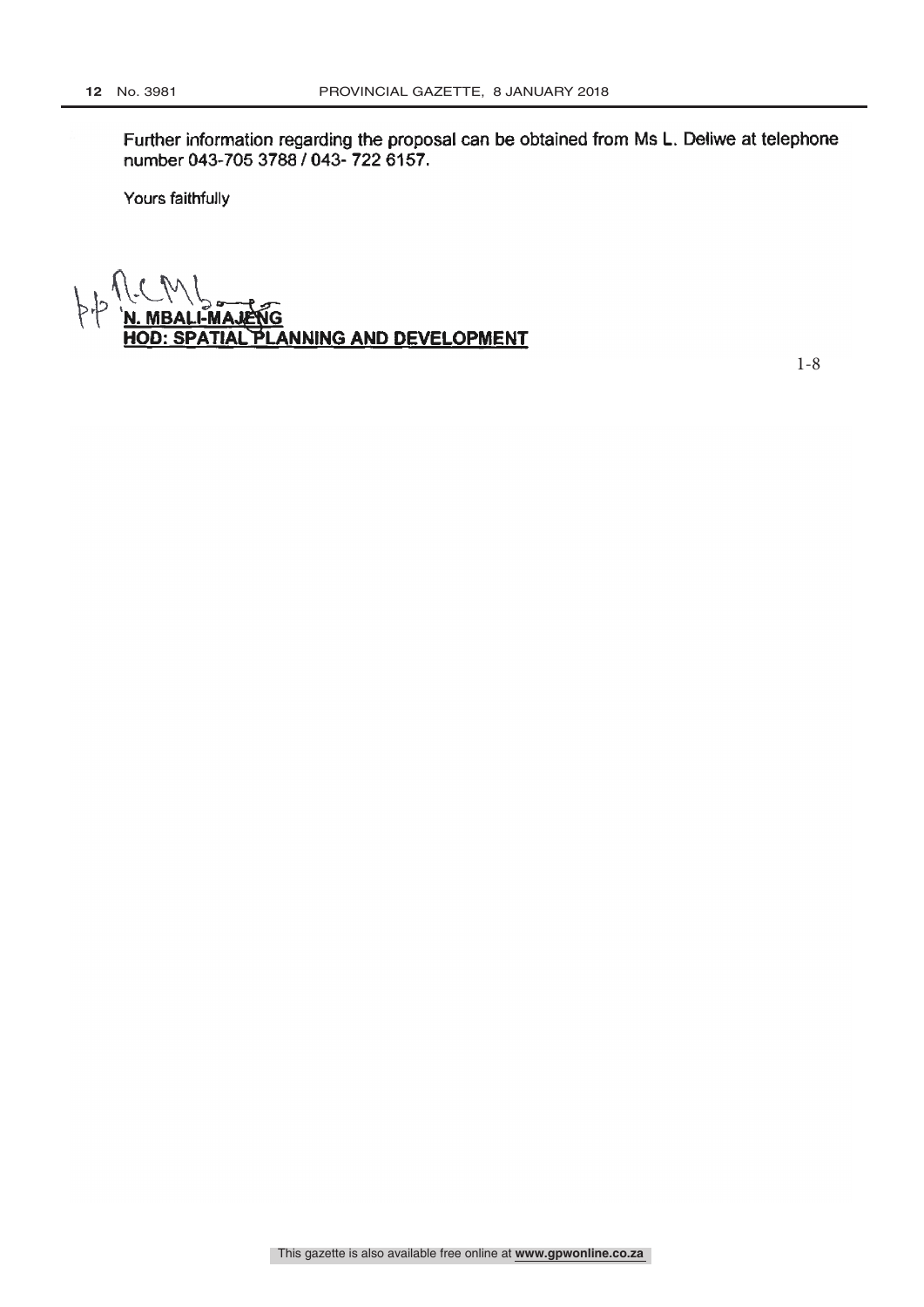number 043-705 3788 / 043- 722 6157. Further information regarding the proposal can be obtained from Ms L. Deliwe at telephone

Yours faithfully

TIAL PLANNING AND DEVELOPMENT **MAJEÑG** 

1-8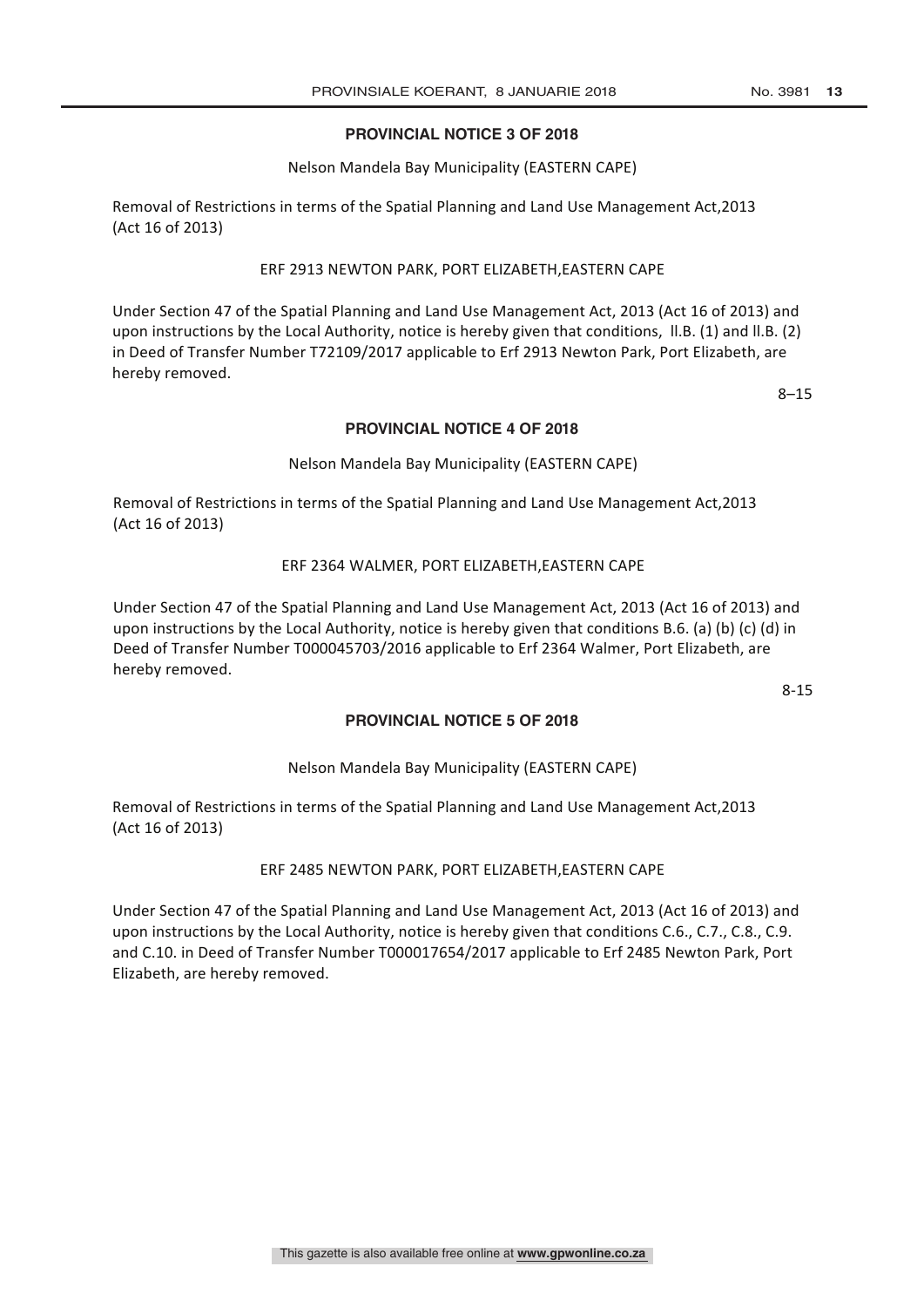# **PROVINCIAL NOTICE 3 OF 2018**

### Nelson Mandela Bay Municipality (EASTERN CAPE)

Removal of Restrictions in terms of the Spatial Planning and Land Use Management Act, 2013 (Act 16 of 2013)

### ERF 2913 NEWTON PARK, PORT ELIZABETH, EASTERN CAPE

Under Section 47 of the Spatial Planning and Land Use Management Act, 2013 (Act 16 of 2013) and upon instructions by the Local Authority, notice is hereby given that conditions, II.B. (1) and II.B. (2) in Deed of Transfer Number T72109/2017 applicable to Erf 2913 Newton Park, Port Elizabeth, are hereby removed.

8–15

#### **PROVINCIAL NOTICE 4 OF 2018**

#### Nelson Mandela Bay Municipality (EASTERN CAPE)

Removal of Restrictions in terms of the Spatial Planning and Land Use Management Act,2013 (Act 16 of 2013)

#### ERF 2364 WALMER, PORT ELIZABETH, EASTERN CAPE

Under Section 47 of the Spatial Planning and Land Use Management Act, 2013 (Act 16 of 2013) and upon instructions by the Local Authority, notice is hereby given that conditions B.6. (a) (b) (c) (d) in Deed of Transfer Number T000045703/2016 applicable to Erf 2364 Walmer, Port Elizabeth, are hereby removed.

8-15

# **PROVINCIAL NOTICE 5 OF 2018**

# Nelson Mandela Bay Municipality (EASTERN CAPE)

Removal of Restrictions in terms of the Spatial Planning and Land Use Management Act,2013 (Act 16 of 2013)

#### ERF 2485 NEWTON PARK, PORT ELIZABETH, EASTERN CAPE

Under Section 47 of the Spatial Planning and Land Use Management Act, 2013 (Act 16 of 2013) and upon instructions by the Local Authority, notice is hereby given that conditions C.6., C.7., C.8., C.9. and C.10. in Deed of Transfer Number T000017654/2017 applicable to Erf 2485 Newton Park, Port Elizabeth, are hereby removed.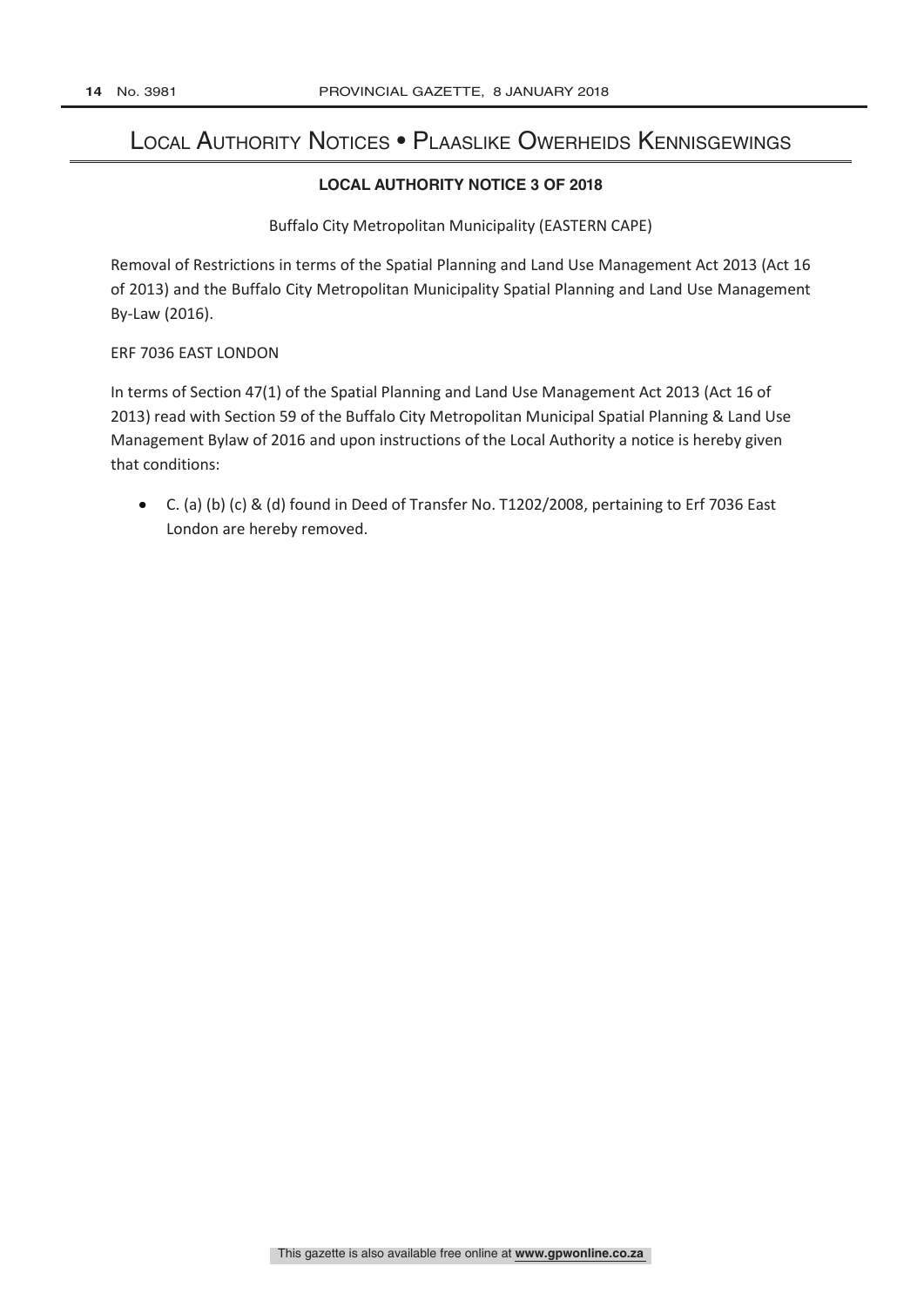# Local Authority Notices • Plaaslike Owerheids Kennisgewings

# **LOCAL AUTHORITY NOTICE 3 OF 2018**

Buffalo City Metropolitan Municipality (EASTERN CAPE)

Removal of Restrictions in terms of the Spatial Planning and Land Use Management Act 2013 (Act 16 of 2013) and the Buffalo City Metropolitan Municipality Spatial Planning and Land Use Management By-Law (2016).

# ERF 7036 EAST LONDON

In terms of Section 47(1) of the Spatial Planning and Land Use Management Act 2013 (Act 16 of 2013) read with Section 59 of the Buffalo City Metropolitan Municipal Spatial Planning & Land Use Management Bylaw of 2016 and upon instructions of the Local Authority a notice is hereby given that conditions:

 $\bullet$ C. (a) (b) (c) & (d) found in Deed of Transfer No. T1202/2008, pertaining to Erf 7036 East London are hereby removed.